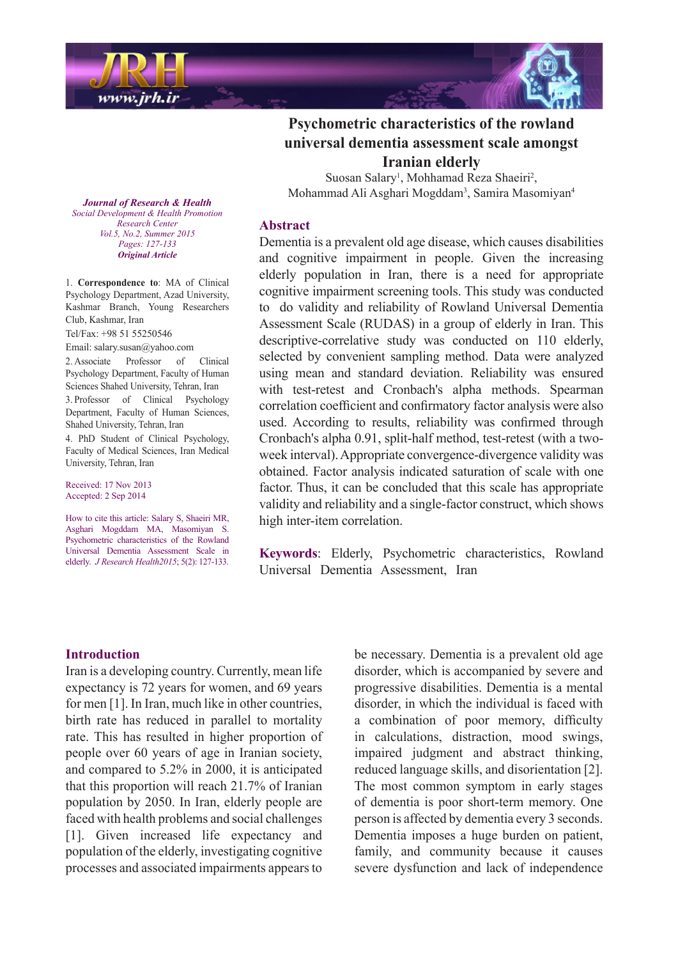

**Journal of Research & Health**  *Promotion Health & Development Social Center Research Vol.5, No.2, Summer 2015* Pages: 127-133 *Article Original*

1. Correspondence to: MA of Clinical Psychology Department, Azad University, Kashmar Branch, Young Researchers Club, Kashmar, Iran

Tel/Fax: +98 51 55250546

Email: salary.susan@yahoo.com

2. Associate Professor of Clinical Psychology Department, Faculty of Human Sciences Shahed University, Tehran, Iran 3. Professor of Clinical Psychology Department, Faculty of Human Sciences, Shahed University, Tehran, Iran 4. PhD Student of Clinical Psychology, Faculty of Medical Sciences, Iran Medical University, Tehran, Iran

Received: 17 Nov 2013 Accepted: 2 Sep 2014

How to cite this article: Salary S, Shaeiri MR, Asghari Mogddam MA, Masomiyan S. Psychometric characteristics of the Rowland Universal Dementia Assessment Scale in elderly. *J Research Health 2015*; 5(2): 127-133.

# **Psychometric characteristics of the rowland universal dementia assessment scale amongst Iranian** elderly

Suosan Salary<sup>1</sup>, Mohhamad Reza Shaeiri<sup>2</sup>, Mohammad Ali Asghari Mogddam<sup>3</sup>, Samira Masomiyan<sup>4</sup>

### **Abstract**

Dementia is a prevalent old age disease, which causes disabilities and cognitive impairment in people. Given the increasing elderly population in Iran, there is a need for appropriate cognitive impairment screening tools. This study was conducted to do validity and reliability of Rowland Universal Dementia Assessment Scale (RUDAS) in a group of elderly in Iran. This descriptive-correlative study was conducted on 110 elderly, selected by convenient sampling method. Data were analyzed using mean and standard deviation. Reliability was ensured with test-retest and Cronbach's alpha methods. Spearman correlation coefficient and confirmatory factor analysis were also used. According to results, reliability was confirmed through week interval). Appropriate convergence-divergence validity was Cronbach's alpha 0.91, split-half method, test-retest (with a twoobtained. Factor analysis indicated saturation of scale with one factor. Thus, it can be concluded that this scale has appropriate validity and reliability and a single-factor construct, which shows high inter-item correlation.

Keywords: Elderly, Psychometric characteristics, Rowland Universal Dementia Assessment. Iran

#### **Introduction**

Iran is a developing country. Currently, mean life expectancy is 72 years for women, and 69 years for men  $[1]$ . In Iran, much like in other countries, birth rate has reduced in parallel to mortality rate. This has resulted in higher proportion of people over 60 years of age in Iranian society, and compared to  $5.2\%$  in 2000, it is anticipated that this proportion will reach  $21.7\%$  of Iranian population by 2050. In Iran, elderly people are faced with health problems and social challenges  $[1]$ . Given increased life expectancy and population of the elderly, investigating cognitive processes and associated impairments appears to be necessary. Dementia is a prevalent old age. disorder, which is accompanied by severe and progressive disabilities. Dementia is a mental disorder, in which the individual is faced with a combination of poor memory, difficulty in calculations, distraction, mood swings, impaired judgment and abstract thinking, reduced language skills, and disorientation [2]. The most common symptom in early stages of dementia is poor short-term memory. One person is affected by dementia every 3 seconds. Dementia imposes a huge burden on patient, family, and community because it causes severe dysfunction and lack of independence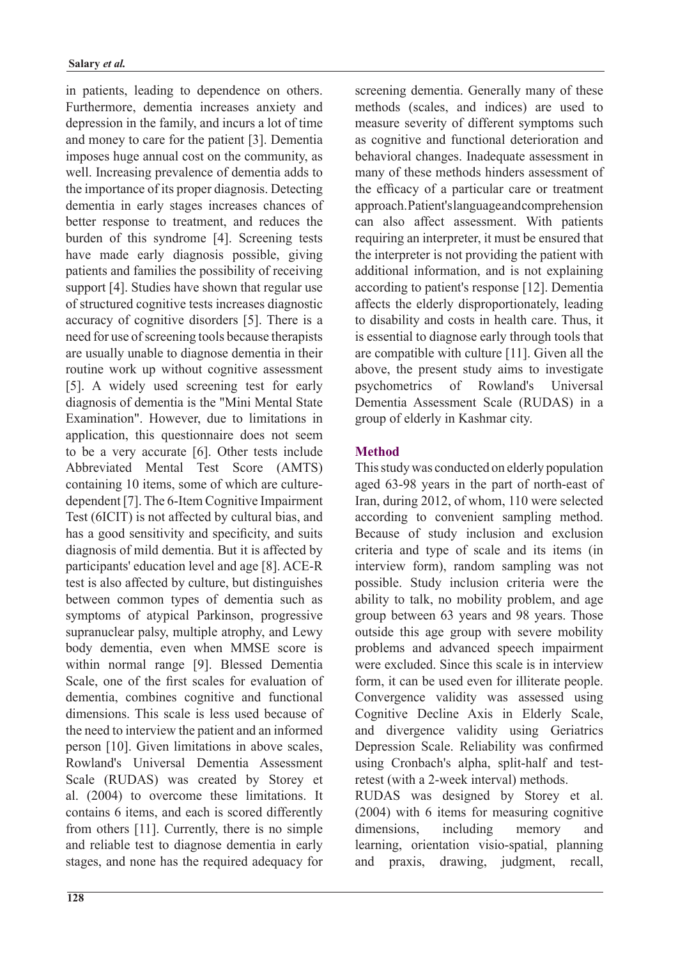in patients, leading to dependence on others. Furthermore, dementia increases anxiety and depression in the family, and incurs a lot of time and money to care for the patient [3]. Dementia imposes huge annual cost on the community, as well. Increasing prevalence of dementia adds to the importance of its proper diagnosis. Detecting dementia in early stages increases chances of better response to treatment, and reduces the burden of this syndrome [4]. Screening tests have made early diagnosis possible, giving patients and families the possibility of receiving support  $[4]$ . Studies have shown that regular use of structured cognitive tests increases diagnostic accuracy of cognitive disorders [5]. There is a need for use of screening tools because therapists are usually unable to diagnose dementia in their routine work up without cognitive assessment [5]. A widely used screening test for early diagnosis of dementia is the "Mini Mental State Examination" However due to limitations in application, this questionnaire does not seem to be a very accurate  $[6]$ . Other tests include Abbreviated Mental Test Score (AMTS)  $dependent [7]$ . The 6-Item Cognitive Impairment containing 10 items, some of which are culture-Test (6ICIT) is not affected by cultural bias, and has a good sensitivity and specificity, and suits diagnosis of mild dementia. But it is affected by participants' education level and age [8]. ACE-R test is also affected by culture, but distinguishes between common types of dementia such as symptoms of atypical Parkinson, progressive supranuclear palsy, multiple atrophy, and Lewy body dementia, even when MMSE score is within normal range [9]. Blessed Dementia Scale, one of the first scales for evaluation of dementia, combines cognitive and functional dimensions. This scale is less used because of the need to interview the patient and an informed person [10]. Given limitations in above scales, Rowland's Universal Dementia Assessment Scale (RUDAS) was created by Storey et al. (2004) to overcome these limitations. It contains 6 items, and each is scored differently from others [11]. Currently, there is no simple and reliable test to diagnose dementia in early stages, and none has the required adequacy for screening dementia. Generally many of these methods (scales, and indices) are used to measure severity of different symptoms such as cognitive and functional deterioration and behavioral changes. Inadequate assessment in many of these methods hinders assessment of the efficacy of a particular care or treatment approach. Patient's language and comprehension can also affect assessment. With patients requiring an interpreter, it must be ensured that the interpreter is not providing the patient with additional information, and is not explaining according to patient's response  $[12]$ . Dementia affects the elderly disproportionately, leading to disability and costs in health care. Thus, it is essential to diagnose early through tools that are compatible with culture  $[11]$ . Given all the above, the present study aims to investigate psychometrics of Rowland's Universal Dementia Assessment Scale (RUDAS) in a eroup of elderly in Kashmar city.

# **Method**

This study was conducted on elderly population aged 63-98 years in the part of north-east of Iran, during 2012, of whom, 110 were selected according to convenient sampling method. Because of study inclusion and exclusion criteria and type of scale and its items (in interview form), random sampling was not possible. Study inclusion criteria were the ability to talk, no mobility problem, and age group between 63 years and 98 years. Those outside this age group with severe mobility problems and advanced speech impairment were excluded. Since this scale is in interview form, it can be used even for illiterate people. Convergence validity was assessed using Cognitive Decline Axis in Elderly Scale, and divergence validity using Geriatrics Depression Scale. Reliability was confirmed retest (with a 2-week interval) methods. using Cronbach's alpha, split-half and test-

RUDAS was designed by Storey et al.  $(2004)$  with 6 items for measuring cognitive dimensions, including memory and learning, orientation visio-spatial, planning and praxis, drawing, judgment, recall,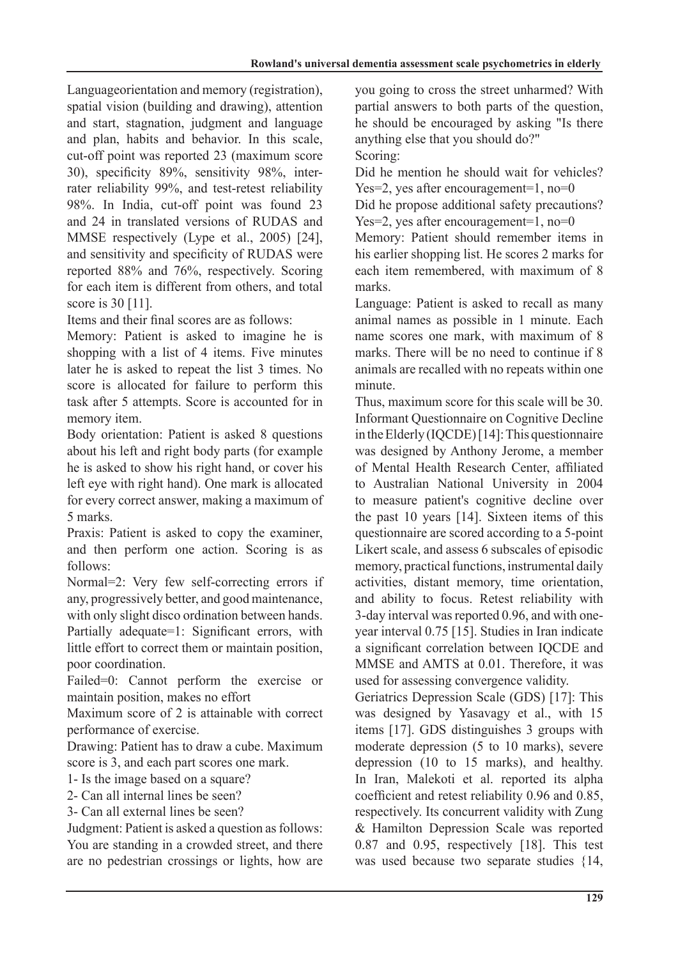Languageorientation and memory (registration), spatial vision (building and drawing), attention and start, stagnation, judgment and language and plan, habits and behavior. In this scale, cut-off point was reported 23 (maximum score rater reliability 99%, and test-retest reliability 30), specificity 89%, sensitivity 98%, inter-98%. In India, cut-off point was found 23 and 24 in translated versions of RUDAS and MMSE respectively (Lype et al., 2005) [24], and sensitivity and specificity of RUDAS were reported 88% and 76%, respectively. Scoring for each item is different from others, and total score is  $30$  [11].

Items and their final scores are as follows:

Memory: Patient is asked to imagine he is shopping with a list of 4 items. Five minutes later he is asked to repeat the list 3 times. No score is allocated for failure to perform this task after 5 attempts. Score is accounted for in memory item.

Body orientation: Patient is asked 8 questions about his left and right body parts (for example he is asked to show his right hand, or cover his left eve with right hand). One mark is allocated for every correct answer, making a maximum of 5 marks.

Praxis: Patient is asked to copy the examiner, and then perform one action. Scoring is as follows:

Normal=2: Very few self-correcting errors if any, progressively better, and good maintenance, with only slight disco ordination between hands. Partially adequate=1: Significant errors, with little effort to correct them or maintain position, poor coordination.

Failed=0: Cannot perform the exercise or maintain position, makes no effort

Maximum score of 2 is attainable with correct nerformance of exercise.

Drawing: Patient has to draw a cube. Maximum score is 3, and each part scores one mark.

1- Is the image based on a square?

2- Can all internal lines be seen?

3- Can all external lines be seen?

Judgment: Patient is asked a question as follows: You are standing in a crowded street, and there are no pedestrian crossings or lights, how are

you going to cross the street unharmed? With partial answers to both parts of the question, he should be encouraged by asking "Is there anything else that you should do?" Scoring:

Did he mention he should wait for vehicles? Yes=2, yes after encouragement =  $1$ , no = 0 Did he propose additional safety precautions?

Yes=2, yes after encouragement =  $1$ , no = 0 Memory: Patient should remember items in his earlier shopping list. He scores 2 marks for each item remembered, with maximum of 8

.marks

Language: Patient is asked to recall as many animal names as possible in 1 minute. Each name scores one mark, with maximum of 8 marks. There will be no need to continue if 8 animals are recalled with no repeats within one minute.

Thus, maximum score for this scale will be 30. Informant Ouestionnaire on Cognitive Decline in the Elderly (IQCDE) [14]: This questionnaire was designed by Anthony Jerome, a member of Mental Health Research Center, affiliated to Australian National University in 2004 to measure patient's cognitive decline over the past 10 years  $[14]$ . Sixteen items of this questionnaire are scored according to a 5-point Likert scale, and assess 6 subscales of episodic memory, practical functions, instrumental daily activities, distant memory, time orientation, and ability to focus. Retest reliability with year interval  $0.75$  [15]. Studies in Iran indicate 3-day interval was reported 0.96, and with onea significant correlation between IOCDE and MMSE and AMTS at 0.01. Therefore, it was used for assessing convergence validity.

Geriatrics Depression Scale (GDS) [17]: This was designed by Yasavagy et al., with 15 items [17]. GDS distinguishes 3 groups with moderate depression  $(5 \text{ to } 10 \text{ marks})$ , severe depression  $(10 \text{ to } 15 \text{ marks})$ , and healthy. In Iran, Malekoti et al. reported its alpha coefficient and retest reliability  $0.96$  and  $0.85$ , respectively. Its concurrent validity with Zung & Hamilton Depression Scale was reported  $0.87$  and  $0.95$ , respectively [18]. This test was used because two separate studies  ${14$ ,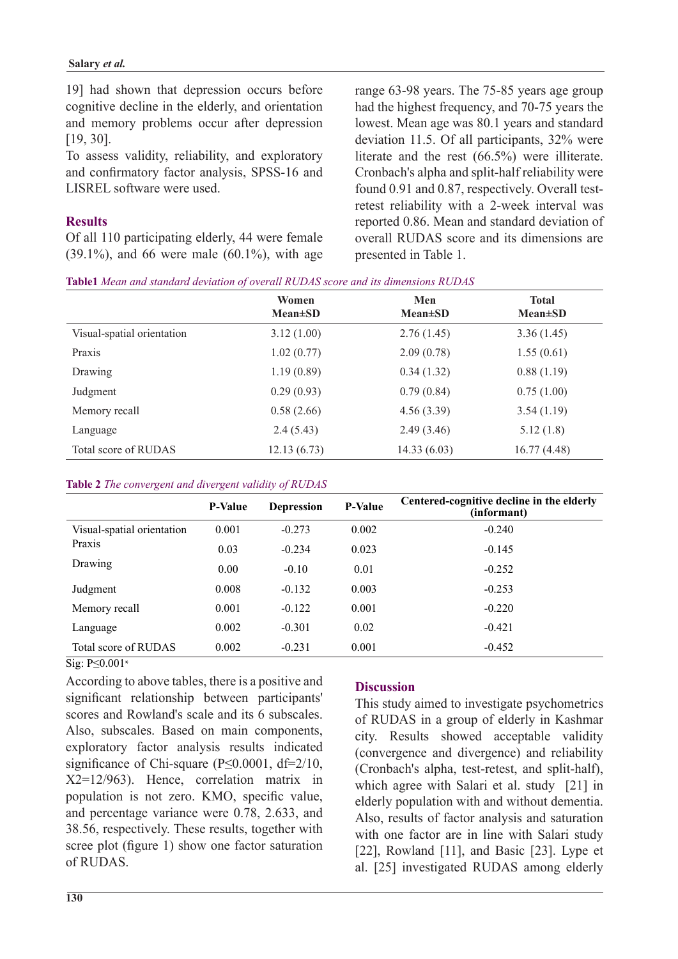19] had shown that depression occurs before cognitive decline in the elderly, and orientation and memory problems occur after depression  $[19, 30]$ .

To assess validity, reliability, and exploratory and confirmatory factor analysis, SPSS-16 and LISREL software were used.

# **Results**

Of all 110 participating elderly, 44 were female  $(39.1\%)$ , and 66 were male  $(60.1\%)$ , with age range 63-98 years. The 75-85 years age group had the highest frequency, and 70-75 years the lowest. Mean age was 80.1 years and standard deviation 11.5. Of all participants, 32% were literate and the rest  $(66.5%)$  were illiterate. Cronbach's alpha and split-half reliability were retest reliability with a 2-week interval was found 0.91 and 0.87, respectively. Overall testreported 0.86. Mean and standard deviation of overall RUDAS score and its dimensions are presented in Table 1.

| Table1 Mean and standard deviation of overall RUDAS score and its dimensions RUDAS |  |  |  |  |
|------------------------------------------------------------------------------------|--|--|--|--|
|------------------------------------------------------------------------------------|--|--|--|--|

|                            | Women<br>$Mean \pm SD$ | Men<br>$Mean \pm SD$ | <b>Total</b><br>$Mean \pm SD$ |
|----------------------------|------------------------|----------------------|-------------------------------|
| Visual-spatial orientation | 3.12(1.00)             | 2.76(1.45)           | 3.36(1.45)                    |
| Praxis                     | 1.02(0.77)             | 2.09(0.78)           | 1.55(0.61)                    |
| Drawing                    | 1.19(0.89)             | 0.34(1.32)           | 0.88(1.19)                    |
| Judgment                   | 0.29(0.93)             | 0.79(0.84)           | 0.75(1.00)                    |
| Memory recall              | 0.58(2.66)             | 4.56(3.39)           | 3.54(1.19)                    |
| Language                   | 2.4(5.43)              | 2.49(3.46)           | 5.12(1.8)                     |
| Total score of RUDAS       | 12.13(6.73)            | 14.33(6.03)          | 16.77(4.48)                   |

#### Table 2 The convergent and divergent validity of RUDAS

|                                                 | <b>P-Value</b> | <b>Depression</b> | <b>P-Value</b> | Centered-cognitive decline in the elderly<br>(informant) |
|-------------------------------------------------|----------------|-------------------|----------------|----------------------------------------------------------|
| Visual-spatial orientation<br>Praxis<br>Drawing | 0.001          | $-0.273$          | 0.002          | $-0.240$                                                 |
|                                                 | 0.03           | $-0.234$          | 0.023          | $-0.145$                                                 |
|                                                 | 0.00           | $-0.10$           | 0.01           | $-0.252$                                                 |
| Judgment                                        | 0.008          | $-0.132$          | 0.003          | $-0.253$                                                 |
| Memory recall                                   | 0.001          | $-0.122$          | 0.001          | $-0.220$                                                 |
| Language                                        | 0.002          | $-0.301$          | 0.02           | $-0.421$                                                 |
| Total score of RUDAS                            | 0.002          | $-0.231$          | 0.001          | $-0.452$                                                 |

 $\overline{\text{Sig}}$ : P $\leq$ 0.001 $*$ 

According to above tables, there is a positive and significant relationship between participants' scores and Rowland's scale and its 6 subscales. Also, subscales. Based on main components, exploratory factor analysis results indicated significance of Chi-square ( $P \le 0.0001$ , df=2/10,  $X2=12/963$ . Hence correlation matrix in population is not zero. KMO, specific value, and percentage variance were  $0.78$ ,  $2.633$ , and 38.56, respectively. These results, together with scree plot (figure 1) show one factor saturation of RUDAS.

# **Discussion**

This study aimed to investigate psychometrics of RUDAS in a group of elderly in Kashmar city. Results showed acceptable validity (convergence and divergence) and reliability  $(Chobach's alpha, test-retest, and split-half).$ which agree with Salari et al. study  $[21]$  in elderly population with and without dementia. Also, results of factor analysis and saturation with one factor are in line with Salari study [22], Rowland  $[11]$ , and Basic  $[23]$ . Lype et al. [25] investigated RUDAS among elderly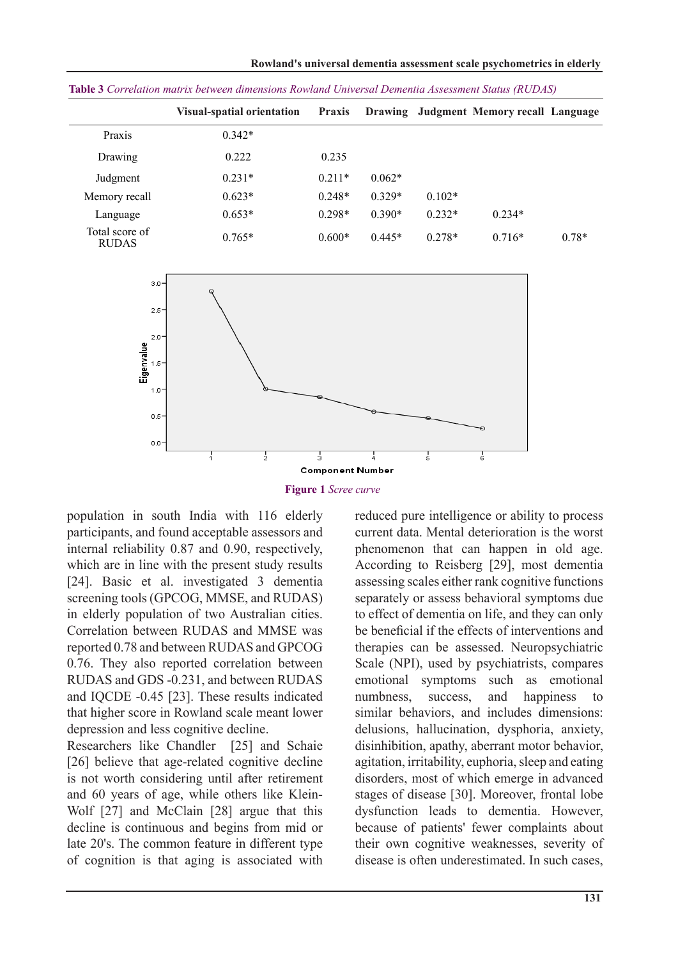|                                | <b>Visual-spatial orientation</b> | <b>Praxis</b> |          |          | Drawing Judgment Memory recall Language |         |
|--------------------------------|-----------------------------------|---------------|----------|----------|-----------------------------------------|---------|
| Praxis                         | $0.342*$                          |               |          |          |                                         |         |
| Drawing                        | 0.222                             | 0.235         |          |          |                                         |         |
| Judgment                       | $0.231*$                          | $0.211*$      | $0.062*$ |          |                                         |         |
| Memory recall                  | $0.623*$                          | $0.248*$      | $0.329*$ | $0.102*$ |                                         |         |
| Language                       | $0.653*$                          | $0.298*$      | $0.390*$ | $0.232*$ | $0.234*$                                |         |
| Total score of<br><b>RUDAS</b> | $0.765*$                          | $0.600*$      | $0.445*$ | $0.278*$ | $0.716*$                                | $0.78*$ |

*(RUDAS (Status Assessment Dementia Universal Rowland dimensions between matrix Correlation* **3 Table**



**Figure** 1 Scree curve

population in south India with 116 elderly participants, and found acceptable assessors and internal reliability  $0.87$  and  $0.90$ , respectively, which are in line with the present study results [24]. Basic et al. investigated 3 demential screening tools (GPCOG, MMSE, and RUDAS) in elderly population of two Australian cities. Correlation between RUDAS and MMSE was reported 0.78 and between RUDAS and GPCOG 0.76. They also reported correlation between RUDAS and GDS -0.231, and between RUDAS and IQCDE -0.45 [23]. These results indicated that higher score in Rowland scale meant lower depression and less cognitive decline.

Researchers like Chandler [25] and Schaie  $[26]$  believe that age-related cognitive decline is not worth considering until after retirement Wolf  $[27]$  and McClain  $[28]$  argue that this and 60 years of age, while others like Kleindecline is continuous and begins from mid or late 20's. The common feature in different type of cognition is that aging is associated with

reduced pure intelligence or ability to process current data. Mental deterioration is the worst phenomenon that can happen in old age. According to Reisberg [29], most dementia assessing scales either rank cognitive functions separately or assess behavioral symptoms due to effect of dementia on life, and they can only be beneficial if the effects of interventions and therapies can be assessed. Neuropsychiatric Scale (NPI), used by psychiatrists, compares emotional symptoms such as emotional numbness, success, and happiness to similar behaviors, and includes dimensions: delusions, hallucination, dysphoria, anxiety, disinhibition, apathy, aberrant motor behavior, agitation, irritability, euphoria, sleep and eating disorders, most of which emerge in advanced stages of disease [30]. Moreover, frontal lobe dysfunction leads to dementia. However, because of patients' fewer complaints about their own cognitive weaknesses, severity of disease is often underestimated. In such cases,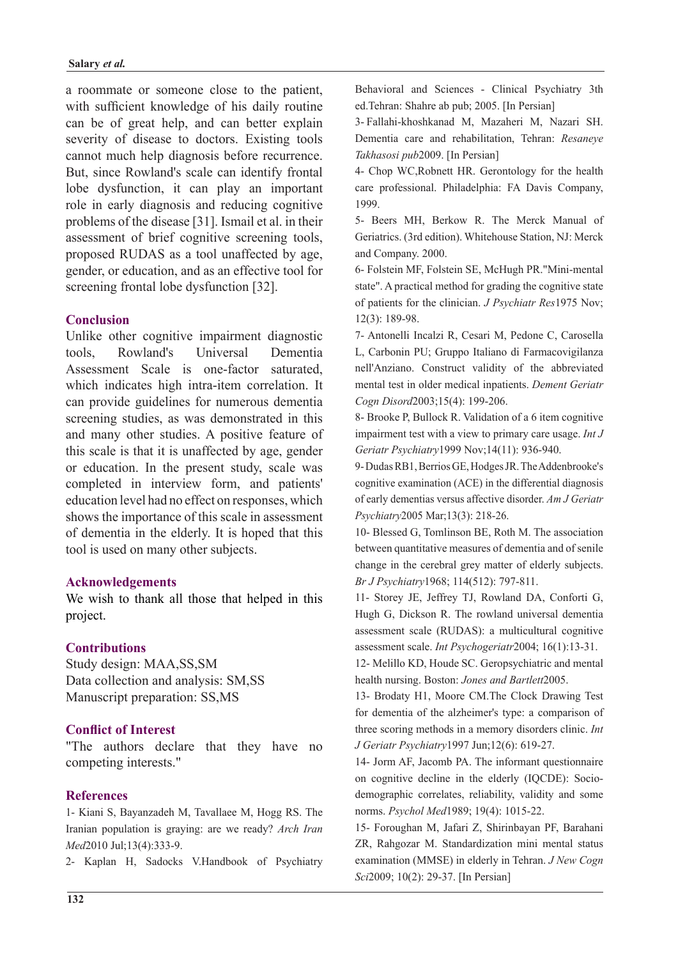a roommate or someone close to the patient, with sufficient knowledge of his daily routine can be of great help, and can better explain severity of disease to doctors. Existing tools cannot much help diagnosis before recurrence. But, since Rowland's scale can identify frontal lobe dysfunction, it can play an important role in early diagnosis and reducing cognitive problems of the disease [31]. Ismail et al. in their assessment of brief cognitive screening tools, proposed RUDAS as a tool unaffected by age, gender, or education, and as an effective tool for screening frontal lobe dysfunction [32].

### **Conclusion**

Unlike other cognitive impairment diagnostic tools. Rowland's Universal Dementia Assessment Scale is one-factor saturated which indicates high intra-item correlation. It can provide guidelines for numerous dementia screening studies, as was demonstrated in this and many other studies. A positive feature of this scale is that it is unaffected by age, gender or education. In the present study, scale was completed in interview form, and patients' education level had no effect on responses, which shows the importance of this scale in assessment of dementia in the elderly. It is hoped that this tool is used on many other subjects.

### **Acknowledgements**

We wish to thank all those that helped in this project.

### **Contributions**

Study design: MAA, SS, SM Data collection and analysis: SM.SS Manuscript preparation: SS,MS

## **Conflict of Interest**

"The authors declare that they have no competing interests."

#### **References**

1- Kiani S, Bayanzadeh M, Tavallaee M, Hogg RS. The Iranian population is graying: are we ready? Arch Iran Med<sub>2010</sub> Jul:13(4):333-9.

2- Kaplan H, Sadocks V.Handbook of Psychiatry

Behavioral and Sciences - Clinical Psychiatry 3th ed.Tehran: Shahre ab pub; 2005. [In Persian]

3- Fallahi-khoshkanad M. Mazaheri M. Nazari SH. Dementia care and rehabilitation, Tehran: Resaneye Takhasosi pub 2009. [In Persian]

4- Chop WC, Robnett HR. Gerontology for the health care professional. Philadelphia: FA Davis Company, 1999.

5- Beers MH, Berkow R. The Merck Manual of Geriatrics. (3rd edition). Whitehouse Station, NJ: Merck and Company. 2000.

6- Folstein MF, Folstein SE, McHugh PR."Mini-mental state". A practical method for grading the cognitive state of patients for the clinician. *J Psychiatr Res* 1975 Nov;  $12(3):$  189-98.

7- Antonelli Incalzi R, Cesari M, Pedone C, Carosella L, Carbonin PU; Gruppo Italiano di Farmacovigilanza nell'Anziano. Construct validity of the abbreviated mental test in older medical inpatients. Dement Geriatr Cogn Disord 2003;15(4): 199-206.

8- Brooke P, Bullock R. Validation of a 6 item cognitive *impairment test with a view to primary care usage. Int J* Geriatr Psychiatry 1999 Nov; 14(11): 936-940.

9-Dudas RB1, Berrios GE, Hodges JR. The Addenbrooke's cognitive examination  $(ACE)$  in the differential diagnosis of early dementias versus affective disorder. Am J Geriatr Psychiatry2005 Mar;13(3): 218-26.

10- Blessed G, Tomlinson BE, Roth M. The association between quantitative measures of dementia and of senile change in the cerebral grey matter of elderly subjects. Br J Psychiatry 1968; 114(512): 797-811.

11- Storey JE, Jeffrey TJ, Rowland DA, Conforti G, Hugh G, Dickson R. The rowland universal dementia assessment scale (RUDAS): a multicultural cognitive assessment scale. *Int Psychogeriatr* 2004; 16(1):13-31.

12- Melillo KD, Houde SC. Geropsychiatric and mental health nursing. Boston: *Jones and Bartlett* 2005.

13- Brodaty H1, Moore CM. The Clock Drawing Test for dementia of the alzheimer's type: a comparison of three scoring methods in a memory disorders clinic. *Int* J Geriatr Psychiatry 1997 Jun; 12(6): 619-27.

14- Jorm AF, Jacomb PA. The informant questionnaire demographic correlates, reliability, validity and some on cognitive decline in the elderly (IQCDE): Socionorms. Psychol Med1989; 19(4): 1015-22.

15- Foroughan M, Jafari Z, Shirinbayan PF, Barahani ZR, Rahgozar M. Standardization mini mental status examination (MMSE) in elderly in Tehran. *J New Cogn* Sci2009; 10(2): 29-37. [In Persian]